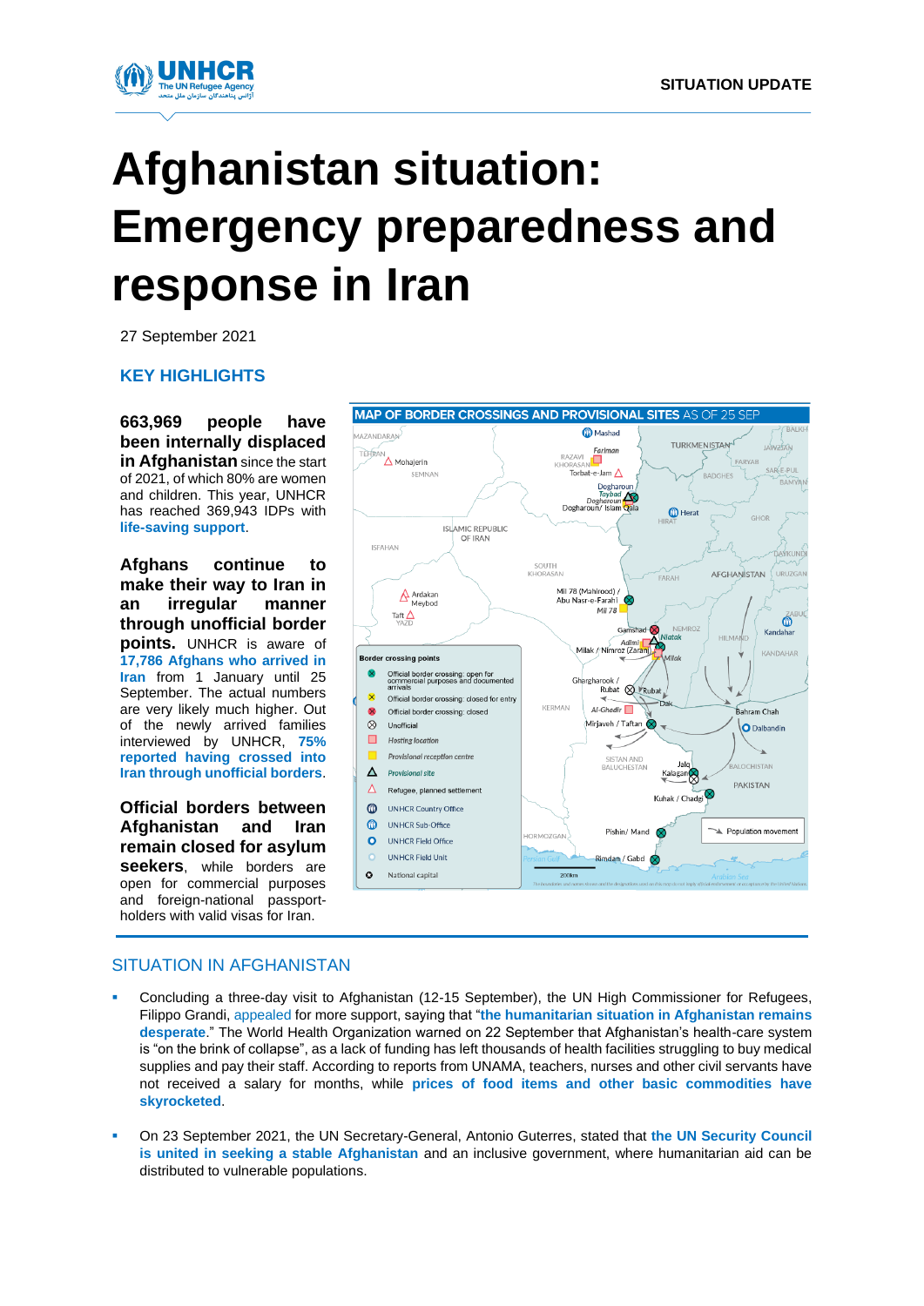

# **Afghanistan situation: Emergency preparedness and response in Iran**

27 September 2021

**KEY HIGHLIGHTS**

**663,969 people have been internally displaced in Afghanistan** since the start of 2021, of which 80% are women and children. This year, UNHCR has reached 369,943 IDPs with **life-saving support**.

**Afghans continue to make their way to Iran in an irregular manner through unofficial border points.** UNHCR is aware of **17,786 Afghans who arrived in Iran** from 1 January until 25 September. The actual numbers are very likely much higher. Out of the newly arrived families interviewed by UNHCR, **75% reported having crossed into Iran through unofficial borders**.

**Official borders between Afghanistan and Iran remain closed for asylum seekers**, while borders are open for commercial purposes and foreign-national passportholders with valid visas for Iran.



### SITUATION IN AFGHANISTAN

- Concluding a three-day visit to Afghanistan (12-15 September), the UN High Commissioner for Refugees, Filippo Grandi[, appealed](https://www.unhcr.org/news/press/2021/9/6142261f4/un-high-commissioner-refugees-completes-three-day-visit-afghanistan.html) for more support, saying that "**the humanitarian situation in Afghanistan remains desperate**." The World Health Organization warned on 22 September that Afghanistan's health-care system is "on the brink of collapse", as a lack of funding has left thousands of health facilities struggling to buy medical supplies and pay their staff. According to reports from UNAMA, teachers, nurses and other civil servants have not received a salary for months, while **prices of food items and other basic commodities have skyrocketed**.
- On 23 September 2021, the UN Secretary-General, Antonio Guterres, stated that the UN Security Council **is united in seeking a stable Afghanistan** and an inclusive government, where humanitarian aid can be distributed to vulnerable populations.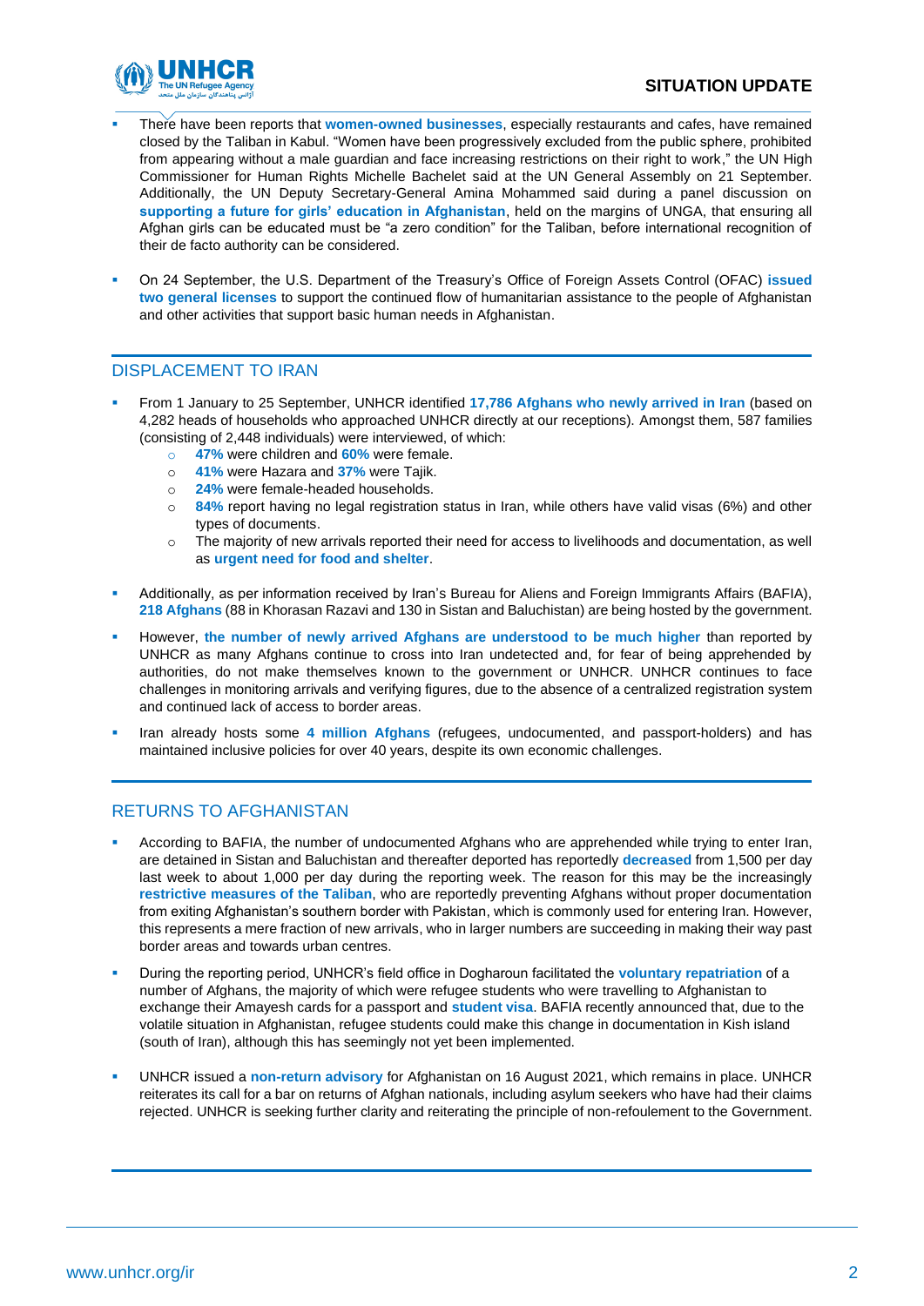

- There have been reports that **women-owned businesses**, especially restaurants and cafes, have remained closed by the Taliban in Kabul. "Women have been progressively excluded from the public sphere, prohibited from appearing without a male guardian and face increasing restrictions on their right to work," the UN High Commissioner for Human Rights Michelle Bachelet said at the UN General Assembly on 21 September. Additionally, the UN Deputy Secretary-General Amina Mohammed said during a panel discussion on **supporting a future for girls' education in Afghanistan**, held on the margins of UNGA, that ensuring all Afghan girls can be educated must be "a zero condition" for the Taliban, before international recognition of their de facto authority can be considered.
- On 24 September, the U.S. Department of the Treasury's Office of Foreign Assets Control (OFAC) **issued two general licenses** to support the continued flow of humanitarian assistance to the people of Afghanistan and other activities that support basic human needs in Afghanistan.

### DISPLACEMENT TO IRAN

- From 1 January to 25 September, UNHCR identified **17,786 Afghans who newly arrived in Iran** (based on 4,282 heads of households who approached UNHCR directly at our receptions). Amongst them, 587 families (consisting of 2,448 individuals) were interviewed, of which:
	- o **47%** were children and **60%** were female.
	- o **41%** were Hazara and **37%** were Tajik.
	- o **24%** were female-headed households.
	- o **84%** report having no legal registration status in Iran, while others have valid visas (6%) and other types of documents.
	- o The majority of new arrivals reported their need for access to livelihoods and documentation, as well as **urgent need for food and shelter**.
- Additionally, as per information received by Iran's Bureau for Aliens and Foreign Immigrants Affairs (BAFIA), **218 Afghans** (88 in Khorasan Razavi and 130 in Sistan and Baluchistan) are being hosted by the government.
- However, the number of newly arrived Afghans are understood to be much higher than reported by UNHCR as many Afghans continue to cross into Iran undetected and, for fear of being apprehended by authorities, do not make themselves known to the government or UNHCR. UNHCR continues to face challenges in monitoring arrivals and verifying figures, due to the absence of a centralized registration system and continued lack of access to border areas.
- Iran already hosts some 4 million Afghans (refugees, undocumented, and passport-holders) and has maintained inclusive policies for over 40 years, despite its own economic challenges.

### RETURNS TO AFGHANISTAN

- According to BAFIA, the number of undocumented Afghans who are apprehended while trying to enter Iran, are detained in Sistan and Baluchistan and thereafter deported has reportedly **decreased** from 1,500 per day last week to about 1,000 per day during the reporting week. The reason for this may be the increasingly **restrictive measures of the Taliban**, who are reportedly preventing Afghans without proper documentation from exiting Afghanistan's southern border with Pakistan, which is commonly used for entering Iran. However, this represents a mere fraction of new arrivals, who in larger numbers are succeeding in making their way past border areas and towards urban centres.
- During the reporting period, UNHCR's field office in Dogharoun facilitated the **voluntary repatriation** of a number of Afghans, the majority of which were refugee students who were travelling to Afghanistan to exchange their Amayesh cards for a passport and **student visa**. BAFIA recently announced that, due to the volatile situation in Afghanistan, refugee students could make this change in documentation in Kish island (south of Iran), although this has seemingly not yet been implemented.
- UNHCR issued a **non-return advisory** for Afghanistan on 16 August 2021, which remains in place. UNHCR reiterates its call for a bar on returns of Afghan nationals, including asylum seekers who have had their claims rejected. UNHCR is seeking further clarity and reiterating the principle of non-refoulement to the Government.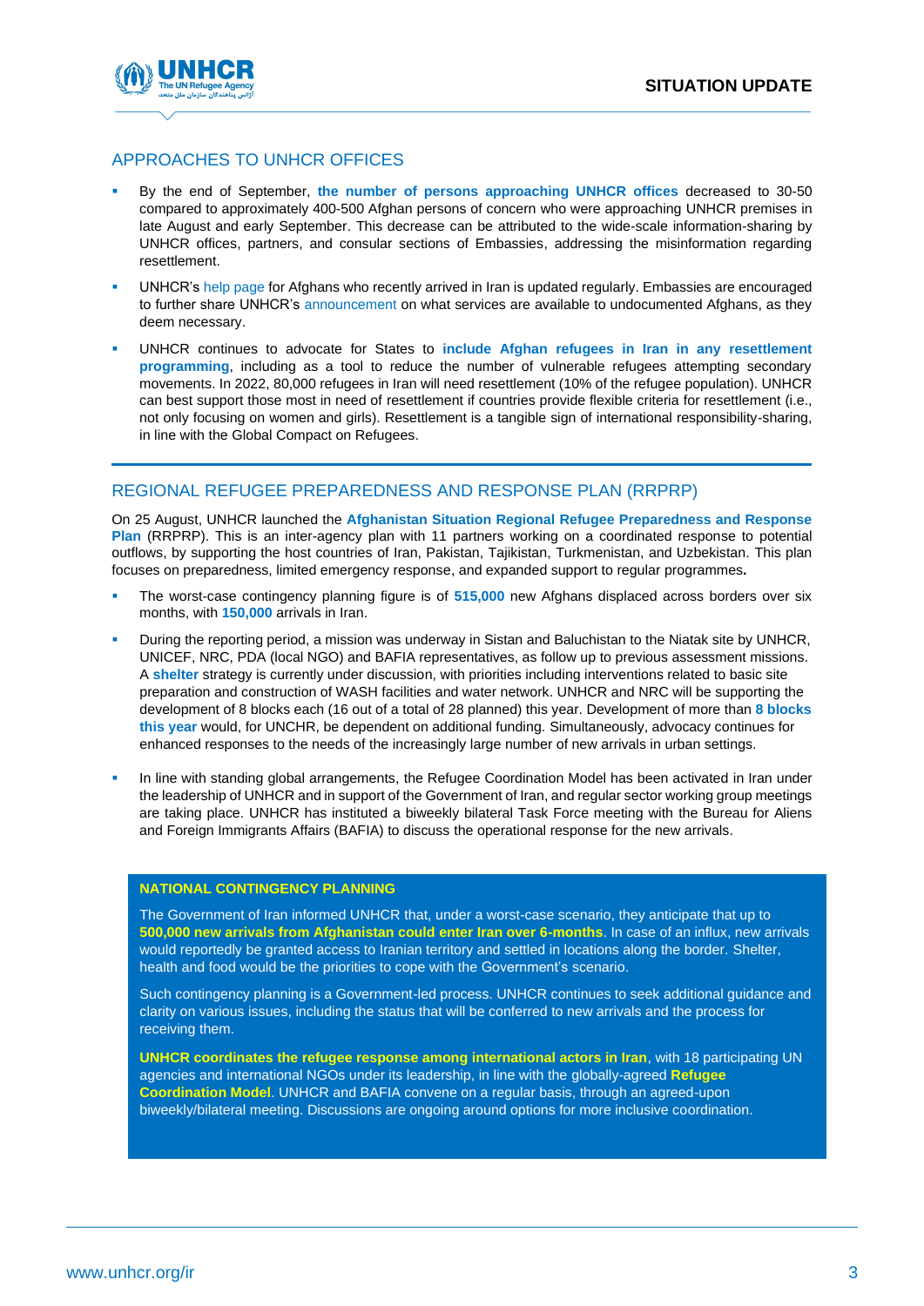

### APPROACHES TO UNHCR OFFICES

- By the end of September, **the number of persons approaching UNHCR offices** decreased to 30-50 compared to approximately 400-500 Afghan persons of concern who were approaching UNHCR premises in late August and early September. This decrease can be attributed to the wide-scale information-sharing by UNHCR offices, partners, and consular sections of Embassies, addressing the misinformation regarding resettlement.
- UNHCR's [help page](https://help.unhcr.org/iran/en/) for Afghans who recently arrived in Iran is updated regularly. Embassies are encouraged to further share UNHCR's [announcement](https://www.unhcr.org/ir/2021/09/26/announcement-on-services-available-for-the-undocumented/) on what services are available to undocumented Afghans, as they deem necessary.
- UNHCR continues to advocate for States to **include Afghan refugees in Iran in any resettlement programming**, including as a tool to reduce the number of vulnerable refugees attempting secondary movements. In 2022, 80,000 refugees in Iran will need resettlement (10% of the refugee population). UNHCR can best support those most in need of resettlement if countries provide flexible criteria for resettlement (i.e., not only focusing on women and girls). Resettlement is a tangible sign of international responsibility-sharing, in line with the Global Compact on Refugees.

### REGIONAL REFUGEE PREPAREDNESS AND RESPONSE PLAN (RRPRP)

On 25 August, UNHCR launched the **[Afghanistan Situation Regional Refugee Preparedness and Response](https://data2.unhcr.org/en/documents/details/88385)  [Plan](https://data2.unhcr.org/en/documents/details/88385)** (RRPRP). This is an inter-agency plan with 11 partners working on a coordinated response to potential outflows, by supporting the host countries of Iran, Pakistan, Tajikistan, Turkmenistan, and Uzbekistan. This plan focuses on preparedness, limited emergency response, and expanded support to regular programmes**.**

- The worst-case contingency planning figure is of 515,000 new Afghans displaced across borders over six months, with **150,000** arrivals in Iran.
- During the reporting period, a mission was underway in Sistan and Baluchistan to the Niatak site by UNHCR, UNICEF, NRC, PDA (local NGO) and BAFIA representatives, as follow up to previous assessment missions. A **shelter** strategy is currently under discussion, with priorities including interventions related to basic site preparation and construction of WASH facilities and water network. UNHCR and NRC will be supporting the development of 8 blocks each (16 out of a total of 28 planned) this year. Development of more than **8 blocks this year** would, for UNCHR, be dependent on additional funding. Simultaneously, advocacy continues for enhanced responses to the needs of the increasingly large number of new arrivals in urban settings.
- In line with standing global arrangements, the Refugee Coordination Model has been activated in Iran under the leadership of UNHCR and in support of the Government of Iran, and regular sector working group meetings are taking place. UNHCR has instituted a biweekly bilateral Task Force meeting with the Bureau for Aliens and Foreign Immigrants Affairs (BAFIA) to discuss the operational response for the new arrivals.

#### **NATIONAL CONTINGENCY PLANNING**

The Government of Iran informed UNHCR that, under a worst-case scenario, they anticipate that up to **500,000 new arrivals from Afghanistan could enter Iran over 6-months**. In case of an influx, new arrivals would reportedly be granted access to Iranian territory and settled in locations along the border. Shelter, health and food would be the priorities to cope with the Government's scenario.

Such contingency planning is a Government-led process. UNHCR continues to seek additional guidance and clarity on various issues, including the status that will be conferred to new arrivals and the process for receiving them.

**UNHCR coordinates the refugee response among international actors in Iran**, with 18 participating UN agencies and international NGOs under its leadership, in line with the globally-agreed **Refugee Coordination Model**. UNHCR and BAFIA convene on a regular basis, through an agreed-upon biweekly/bilateral meeting. Discussions are ongoing around options for more inclusive coordination.